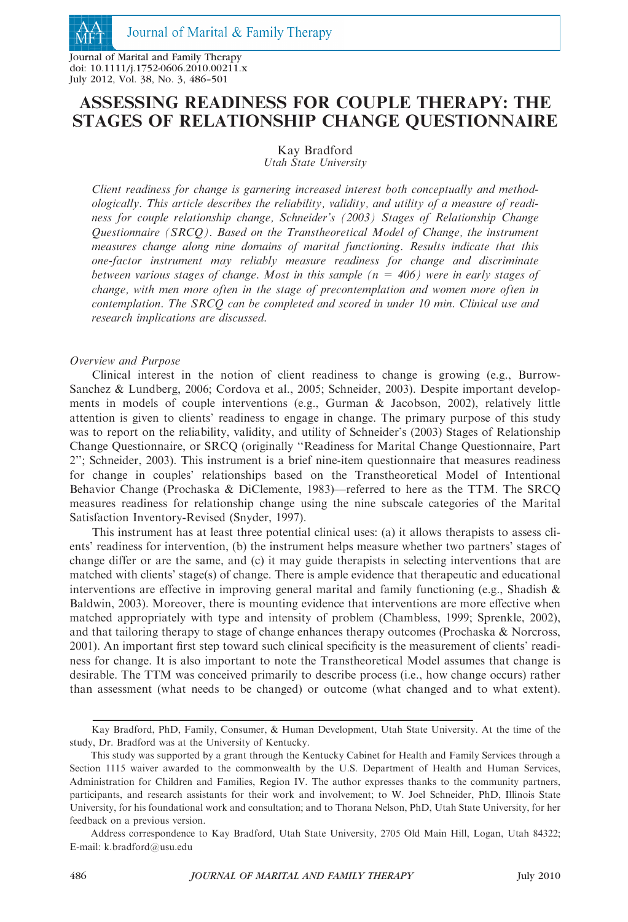Journal of Marital and Family Therapy doi: 10.1111/j.1752-0606.2010.00211.x July 2012, Vol. 38, No. 3, 486–501

# ASSESSING READINESS FOR COUPLE THERAPY: THE STAGES OF RELATIONSHIP CHANGE QUESTIONNAIRE

Kay Bradford Utah State University

Client readiness for change is garnering increased interest both conceptually and methodologically. This article describes the reliability, validity, and utility of a measure of readiness for couple relationship change, Schneider's (2003) Stages of Relationship Change Questionnaire (SRCQ). Based on the Transtheoretical Model of Change, the instrument measures change along nine domains of marital functioning. Results indicate that this one-factor instrument may reliably measure readiness for change and discriminate between various stages of change. Most in this sample  $(n = 406)$  were in early stages of change, with men more often in the stage of precontemplation and women more often in contemplation. The SRCQ can be completed and scored in under 10 min. Clinical use and research implications are discussed.

## Overview and Purpose

Clinical interest in the notion of client readiness to change is growing (e.g., Burrow-Sanchez & Lundberg, 2006; Cordova et al., 2005; Schneider, 2003). Despite important developments in models of couple interventions (e.g., Gurman & Jacobson, 2002), relatively little attention is given to clients' readiness to engage in change. The primary purpose of this study was to report on the reliability, validity, and utility of Schneider's (2003) Stages of Relationship Change Questionnaire, or SRCQ (originally ''Readiness for Marital Change Questionnaire, Part 2''; Schneider, 2003). This instrument is a brief nine-item questionnaire that measures readiness for change in couples' relationships based on the Transtheoretical Model of Intentional Behavior Change (Prochaska & DiClemente, 1983)—referred to here as the TTM. The SRCQ measures readiness for relationship change using the nine subscale categories of the Marital Satisfaction Inventory-Revised (Snyder, 1997).

This instrument has at least three potential clinical uses: (a) it allows therapists to assess clients' readiness for intervention, (b) the instrument helps measure whether two partners' stages of change differ or are the same, and (c) it may guide therapists in selecting interventions that are matched with clients' stage(s) of change. There is ample evidence that therapeutic and educational interventions are effective in improving general marital and family functioning (e.g., Shadish & Baldwin, 2003). Moreover, there is mounting evidence that interventions are more effective when matched appropriately with type and intensity of problem (Chambless, 1999; Sprenkle, 2002), and that tailoring therapy to stage of change enhances therapy outcomes (Prochaska & Norcross, 2001). An important first step toward such clinical specificity is the measurement of clients' readiness for change. It is also important to note the Transtheoretical Model assumes that change is desirable. The TTM was conceived primarily to describe process (i.e., how change occurs) rather than assessment (what needs to be changed) or outcome (what changed and to what extent).

Kay Bradford, PhD, Family, Consumer, & Human Development, Utah State University. At the time of the study, Dr. Bradford was at the University of Kentucky.

This study was supported by a grant through the Kentucky Cabinet for Health and Family Services through a Section 1115 waiver awarded to the commonwealth by the U.S. Department of Health and Human Services, Administration for Children and Families, Region IV. The author expresses thanks to the community partners, participants, and research assistants for their work and involvement; to W. Joel Schneider, PhD, Illinois State University, for his foundational work and consultation; and to Thorana Nelson, PhD, Utah State University, for her feedback on a previous version.

Address correspondence to Kay Bradford, Utah State University, 2705 Old Main Hill, Logan, Utah 84322; E-mail: k.bradford@usu.edu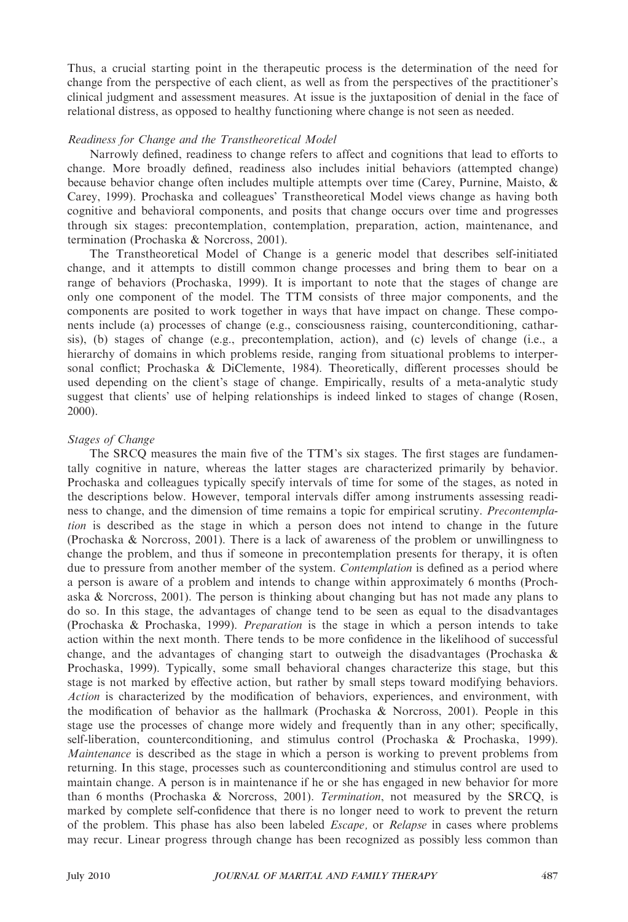Thus, a crucial starting point in the therapeutic process is the determination of the need for change from the perspective of each client, as well as from the perspectives of the practitioner's clinical judgment and assessment measures. At issue is the juxtaposition of denial in the face of relational distress, as opposed to healthy functioning where change is not seen as needed.

## Readiness for Change and the Transtheoretical Model

Narrowly defined, readiness to change refers to affect and cognitions that lead to efforts to change. More broadly defined, readiness also includes initial behaviors (attempted change) because behavior change often includes multiple attempts over time (Carey, Purnine, Maisto, & Carey, 1999). Prochaska and colleagues' Transtheoretical Model views change as having both cognitive and behavioral components, and posits that change occurs over time and progresses through six stages: precontemplation, contemplation, preparation, action, maintenance, and termination (Prochaska & Norcross, 2001).

The Transtheoretical Model of Change is a generic model that describes self-initiated change, and it attempts to distill common change processes and bring them to bear on a range of behaviors (Prochaska, 1999). It is important to note that the stages of change are only one component of the model. The TTM consists of three major components, and the components are posited to work together in ways that have impact on change. These components include (a) processes of change (e.g., consciousness raising, counterconditioning, catharsis), (b) stages of change (e.g., precontemplation, action), and (c) levels of change (i.e., a hierarchy of domains in which problems reside, ranging from situational problems to interpersonal conflict; Prochaska & DiClemente, 1984). Theoretically, different processes should be used depending on the client's stage of change. Empirically, results of a meta-analytic study suggest that clients' use of helping relationships is indeed linked to stages of change (Rosen, 2000).

# Stages of Change

The SRCQ measures the main five of the TTM's six stages. The first stages are fundamentally cognitive in nature, whereas the latter stages are characterized primarily by behavior. Prochaska and colleagues typically specify intervals of time for some of the stages, as noted in the descriptions below. However, temporal intervals differ among instruments assessing readiness to change, and the dimension of time remains a topic for empirical scrutiny. Precontemplation is described as the stage in which a person does not intend to change in the future (Prochaska & Norcross, 2001). There is a lack of awareness of the problem or unwillingness to change the problem, and thus if someone in precontemplation presents for therapy, it is often due to pressure from another member of the system. *Contemplation* is defined as a period where a person is aware of a problem and intends to change within approximately 6 months (Prochaska  $\&$  Norcross, 2001). The person is thinking about changing but has not made any plans to do so. In this stage, the advantages of change tend to be seen as equal to the disadvantages (Prochaska & Prochaska, 1999). Preparation is the stage in which a person intends to take action within the next month. There tends to be more confidence in the likelihood of successful change, and the advantages of changing start to outweigh the disadvantages (Prochaska  $\&$ Prochaska, 1999). Typically, some small behavioral changes characterize this stage, but this stage is not marked by effective action, but rather by small steps toward modifying behaviors. Action is characterized by the modification of behaviors, experiences, and environment, with the modification of behavior as the hallmark (Prochaska  $\&$  Norcross, 2001). People in this stage use the processes of change more widely and frequently than in any other; specifically, self-liberation, counterconditioning, and stimulus control (Prochaska & Prochaska, 1999). Maintenance is described as the stage in which a person is working to prevent problems from returning. In this stage, processes such as counterconditioning and stimulus control are used to maintain change. A person is in maintenance if he or she has engaged in new behavior for more than 6 months (Prochaska & Norcross, 2001). Termination, not measured by the SRCQ, is marked by complete self-confidence that there is no longer need to work to prevent the return of the problem. This phase has also been labeled *Escape*, or *Relapse* in cases where problems may recur. Linear progress through change has been recognized as possibly less common than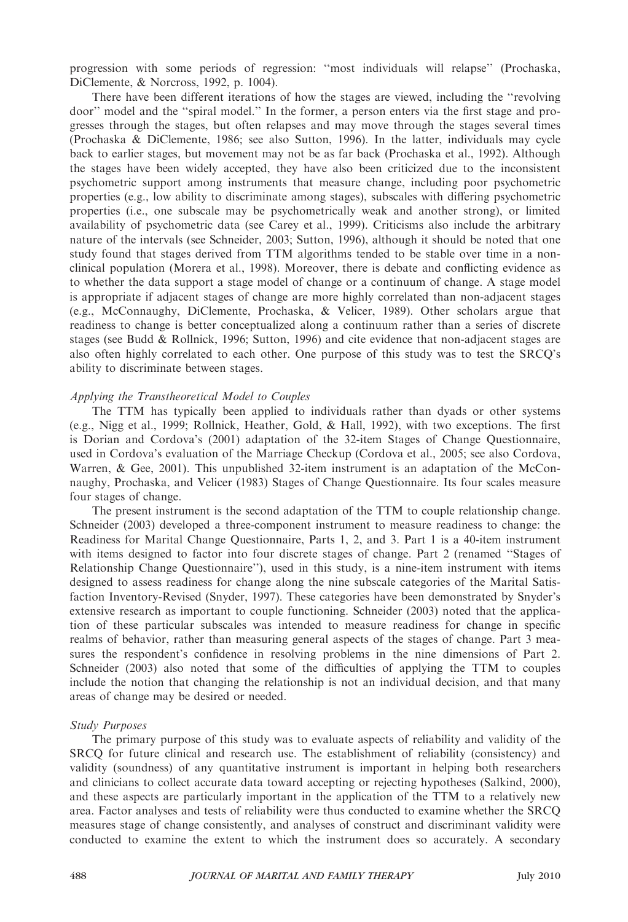progression with some periods of regression: ''most individuals will relapse'' (Prochaska, DiClemente, & Norcross, 1992, p. 1004).

There have been different iterations of how the stages are viewed, including the ''revolving door'' model and the ''spiral model.'' In the former, a person enters via the first stage and progresses through the stages, but often relapses and may move through the stages several times (Prochaska & DiClemente, 1986; see also Sutton, 1996). In the latter, individuals may cycle back to earlier stages, but movement may not be as far back (Prochaska et al., 1992). Although the stages have been widely accepted, they have also been criticized due to the inconsistent psychometric support among instruments that measure change, including poor psychometric properties (e.g., low ability to discriminate among stages), subscales with differing psychometric properties (i.e., one subscale may be psychometrically weak and another strong), or limited availability of psychometric data (see Carey et al., 1999). Criticisms also include the arbitrary nature of the intervals (see Schneider, 2003; Sutton, 1996), although it should be noted that one study found that stages derived from TTM algorithms tended to be stable over time in a nonclinical population (Morera et al., 1998). Moreover, there is debate and conflicting evidence as to whether the data support a stage model of change or a continuum of change. A stage model is appropriate if adjacent stages of change are more highly correlated than non-adjacent stages (e.g., McConnaughy, DiClemente, Prochaska, & Velicer, 1989). Other scholars argue that readiness to change is better conceptualized along a continuum rather than a series of discrete stages (see Budd & Rollnick, 1996; Sutton, 1996) and cite evidence that non-adjacent stages are also often highly correlated to each other. One purpose of this study was to test the SRCQ's ability to discriminate between stages.

### Applying the Transtheoretical Model to Couples

The TTM has typically been applied to individuals rather than dyads or other systems (e.g., Nigg et al., 1999; Rollnick, Heather, Gold, & Hall, 1992), with two exceptions. The first is Dorian and Cordova's (2001) adaptation of the 32-item Stages of Change Questionnaire, used in Cordova's evaluation of the Marriage Checkup (Cordova et al., 2005; see also Cordova, Warren, & Gee, 2001). This unpublished 32-item instrument is an adaptation of the McConnaughy, Prochaska, and Velicer (1983) Stages of Change Questionnaire. Its four scales measure four stages of change.

The present instrument is the second adaptation of the TTM to couple relationship change. Schneider (2003) developed a three-component instrument to measure readiness to change: the Readiness for Marital Change Questionnaire, Parts 1, 2, and 3. Part 1 is a 40-item instrument with items designed to factor into four discrete stages of change. Part 2 (renamed ''Stages of Relationship Change Questionnaire''), used in this study, is a nine-item instrument with items designed to assess readiness for change along the nine subscale categories of the Marital Satisfaction Inventory-Revised (Snyder, 1997). These categories have been demonstrated by Snyder's extensive research as important to couple functioning. Schneider (2003) noted that the application of these particular subscales was intended to measure readiness for change in specific realms of behavior, rather than measuring general aspects of the stages of change. Part 3 measures the respondent's confidence in resolving problems in the nine dimensions of Part 2. Schneider (2003) also noted that some of the difficulties of applying the TTM to couples include the notion that changing the relationship is not an individual decision, and that many areas of change may be desired or needed.

### Study Purposes

The primary purpose of this study was to evaluate aspects of reliability and validity of the SRCQ for future clinical and research use. The establishment of reliability (consistency) and validity (soundness) of any quantitative instrument is important in helping both researchers and clinicians to collect accurate data toward accepting or rejecting hypotheses (Salkind, 2000), and these aspects are particularly important in the application of the TTM to a relatively new area. Factor analyses and tests of reliability were thus conducted to examine whether the SRCQ measures stage of change consistently, and analyses of construct and discriminant validity were conducted to examine the extent to which the instrument does so accurately. A secondary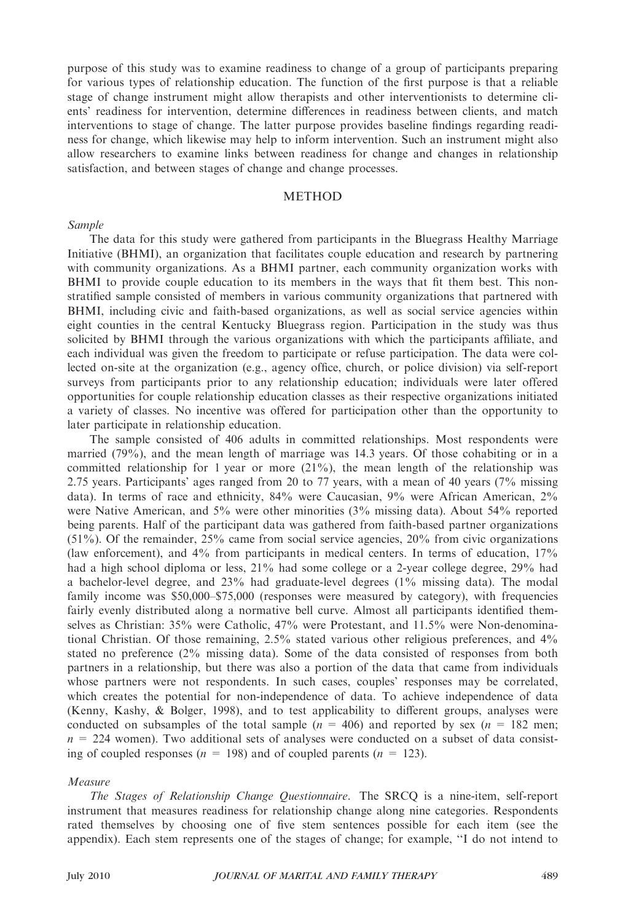purpose of this study was to examine readiness to change of a group of participants preparing for various types of relationship education. The function of the first purpose is that a reliable stage of change instrument might allow therapists and other interventionists to determine clients' readiness for intervention, determine differences in readiness between clients, and match interventions to stage of change. The latter purpose provides baseline findings regarding readiness for change, which likewise may help to inform intervention. Such an instrument might also allow researchers to examine links between readiness for change and changes in relationship satisfaction, and between stages of change and change processes.

#### **METHOD**

#### Sample

The data for this study were gathered from participants in the Bluegrass Healthy Marriage Initiative (BHMI), an organization that facilitates couple education and research by partnering with community organizations. As a BHMI partner, each community organization works with BHMI to provide couple education to its members in the ways that fit them best. This nonstratified sample consisted of members in various community organizations that partnered with BHMI, including civic and faith-based organizations, as well as social service agencies within eight counties in the central Kentucky Bluegrass region. Participation in the study was thus solicited by BHMI through the various organizations with which the participants affiliate, and each individual was given the freedom to participate or refuse participation. The data were collected on-site at the organization (e.g., agency office, church, or police division) via self-report surveys from participants prior to any relationship education; individuals were later offered opportunities for couple relationship education classes as their respective organizations initiated a variety of classes. No incentive was offered for participation other than the opportunity to later participate in relationship education.

The sample consisted of 406 adults in committed relationships. Most respondents were married (79%), and the mean length of marriage was 14.3 years. Of those cohabiting or in a committed relationship for 1 year or more  $(21\%)$ , the mean length of the relationship was 2.75 years. Participants' ages ranged from 20 to 77 years, with a mean of 40 years (7% missing data). In terms of race and ethnicity, 84% were Caucasian, 9% were African American, 2% were Native American, and 5% were other minorities (3% missing data). About 54% reported being parents. Half of the participant data was gathered from faith-based partner organizations  $(51\%)$ . Of the remainder, 25% came from social service agencies, 20% from civic organizations (law enforcement), and 4% from participants in medical centers. In terms of education, 17% had a high school diploma or less, 21% had some college or a 2-year college degree, 29% had a bachelor-level degree, and 23% had graduate-level degrees (1% missing data). The modal family income was \$50,000–\$75,000 (responses were measured by category), with frequencies fairly evenly distributed along a normative bell curve. Almost all participants identified themselves as Christian: 35% were Catholic, 47% were Protestant, and 11.5% were Non-denominational Christian. Of those remaining, 2.5% stated various other religious preferences, and 4% stated no preference (2% missing data). Some of the data consisted of responses from both partners in a relationship, but there was also a portion of the data that came from individuals whose partners were not respondents. In such cases, couples' responses may be correlated, which creates the potential for non-independence of data. To achieve independence of data (Kenny, Kashy, & Bolger, 1998), and to test applicability to different groups, analyses were conducted on subsamples of the total sample  $(n = 406)$  and reported by sex  $(n = 182 \text{ men})$ ;  $n = 224$  women). Two additional sets of analyses were conducted on a subset of data consisting of coupled responses ( $n = 198$ ) and of coupled parents ( $n = 123$ ).

## Measure

The Stages of Relationship Change Questionnaire. The SRCQ is a nine-item, self-report instrument that measures readiness for relationship change along nine categories. Respondents rated themselves by choosing one of five stem sentences possible for each item (see the appendix). Each stem represents one of the stages of change; for example, ''I do not intend to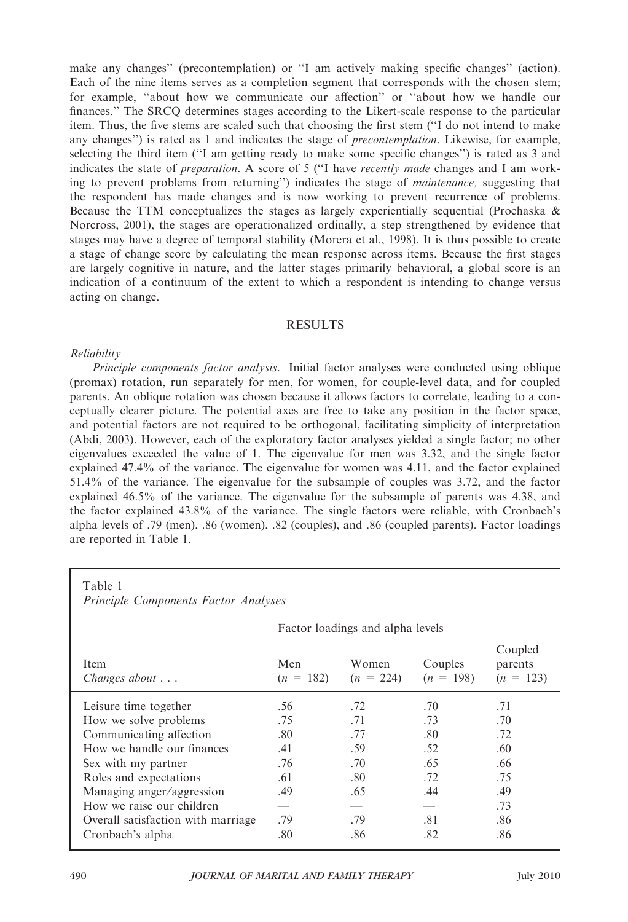make any changes'' (precontemplation) or ''I am actively making specific changes'' (action). Each of the nine items serves as a completion segment that corresponds with the chosen stem; for example, ''about how we communicate our affection'' or ''about how we handle our finances.'' The SRCQ determines stages according to the Likert-scale response to the particular item. Thus, the five stems are scaled such that choosing the first stem (''I do not intend to make any changes'') is rated as 1 and indicates the stage of precontemplation. Likewise, for example, selecting the third item (''I am getting ready to make some specific changes'') is rated as 3 and indicates the state of *preparation*. A score of 5 ( $\degree$ I have *recently made* changes and I am working to prevent problems from returning'') indicates the stage of maintenance, suggesting that the respondent has made changes and is now working to prevent recurrence of problems. Because the TTM conceptualizes the stages as largely experientially sequential (Prochaska  $\&$ Norcross, 2001), the stages are operationalized ordinally, a step strengthened by evidence that stages may have a degree of temporal stability (Morera et al., 1998). It is thus possible to create a stage of change score by calculating the mean response across items. Because the first stages are largely cognitive in nature, and the latter stages primarily behavioral, a global score is an indication of a continuum of the extent to which a respondent is intending to change versus acting on change.

# RESULTS

### Reliability

Principle components factor analysis. Initial factor analyses were conducted using oblique (promax) rotation, run separately for men, for women, for couple-level data, and for coupled parents. An oblique rotation was chosen because it allows factors to correlate, leading to a conceptually clearer picture. The potential axes are free to take any position in the factor space, and potential factors are not required to be orthogonal, facilitating simplicity of interpretation (Abdi, 2003). However, each of the exploratory factor analyses yielded a single factor; no other eigenvalues exceeded the value of 1. The eigenvalue for men was 3.32, and the single factor explained 47.4% of the variance. The eigenvalue for women was 4.11, and the factor explained 51.4% of the variance. The eigenvalue for the subsample of couples was 3.72, and the factor explained 46.5% of the variance. The eigenvalue for the subsample of parents was 4.38, and the factor explained 43.8% of the variance. The single factors were reliable, with Cronbach's alpha levels of .79 (men), .86 (women), .82 (couples), and .86 (coupled parents). Factor loadings are reported in Table 1.

| Table 1<br>Principle Components Factor Analyses |                    |                                  |                        |                                   |
|-------------------------------------------------|--------------------|----------------------------------|------------------------|-----------------------------------|
|                                                 |                    | Factor loadings and alpha levels |                        |                                   |
| Item<br>Changes about $\ldots$                  | Men<br>$(n = 182)$ | Women<br>$(n = 224)$             | Couples<br>$(n = 198)$ | Coupled<br>parents<br>$(n = 123)$ |
| Leisure time together                           | .56                | .72                              | .70                    | .71                               |
| How we solve problems                           | .75                | .71                              | .73                    | .70                               |
| Communicating affection                         | .80                | .77                              | .80                    | .72                               |
| How we handle our finances                      | .41                | .59                              | .52                    | .60                               |
| Sex with my partner                             | .76                | .70                              | .65                    | .66                               |
| Roles and expectations                          | .61                | .80                              | .72                    | .75                               |
| Managing anger/aggression                       | .49                | .65                              | .44                    | .49                               |
| How we raise our children                       |                    |                                  |                        | .73                               |
| Overall satisfaction with marriage              | .79                | .79                              | .81                    | .86                               |
| Cronbach's alpha                                | .80                | .86                              | .82                    | .86                               |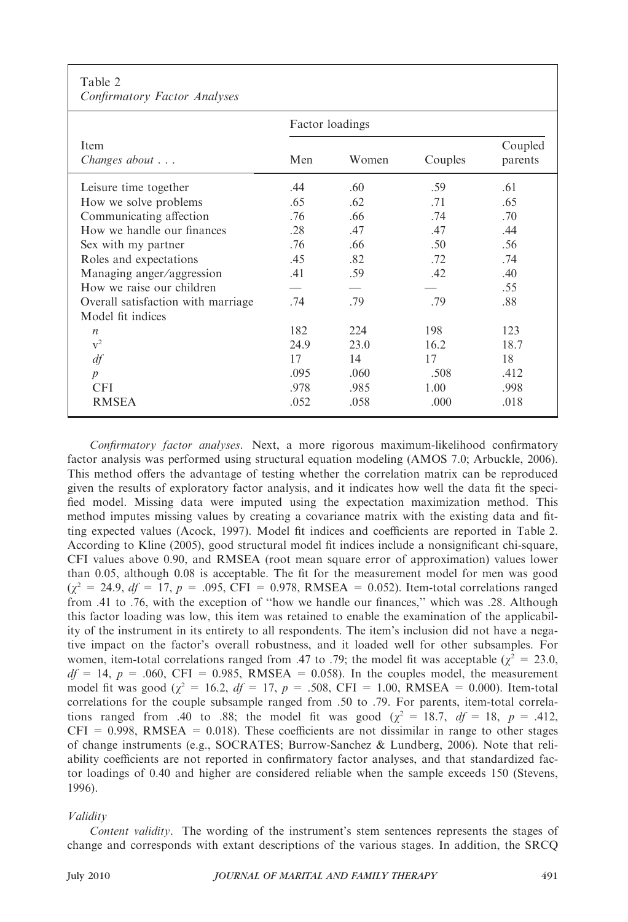| Table 2<br><b>Confirmatory Factor Analyses</b>          |                 |       |         |                    |
|---------------------------------------------------------|-----------------|-------|---------|--------------------|
|                                                         | Factor loadings |       |         |                    |
| Item<br>Changes about $\ldots$                          | Men             | Women | Couples | Coupled<br>parents |
| Leisure time together                                   | .44             | .60   | .59     | .61                |
| How we solve problems                                   | .65             | .62   | .71     | .65                |
| Communicating affection                                 | .76             | .66   | .74     | .70                |
| How we handle our finances                              | .28             | .47   | .47     | .44                |
| Sex with my partner                                     | .76             | .66   | .50     | .56                |
| Roles and expectations                                  | .45             | .82   | .72     | .74                |
| Managing anger/aggression                               | .41             | .59   | .42     | .40                |
| How we raise our children                               |                 |       |         | .55                |
| Overall satisfaction with marriage<br>Model fit indices | .74             | .79   | .79     | .88                |
| $\boldsymbol{n}$                                        | 182             | 224   | 198     | 123                |
| $v^2$                                                   | 24.9            | 23.0  | 16.2    | 18.7               |
| df                                                      | 17              | 14    | 17      | 18                 |
| $\mathcal{P}$                                           | .095            | .060  | .508    | .412               |
| <b>CFI</b>                                              | .978            | .985  | 1.00    | .998               |
| <b>RMSEA</b>                                            | .052            | .058  | .000    | .018               |

Confirmatory factor analyses. Next, a more rigorous maximum-likelihood confirmatory factor analysis was performed using structural equation modeling (AMOS 7.0; Arbuckle, 2006). This method offers the advantage of testing whether the correlation matrix can be reproduced given the results of exploratory factor analysis, and it indicates how well the data fit the specified model. Missing data were imputed using the expectation maximization method. This method imputes missing values by creating a covariance matrix with the existing data and fitting expected values (Acock, 1997). Model fit indices and coefficients are reported in Table 2. According to Kline (2005), good structural model fit indices include a nonsignificant chi-square, CFI values above 0.90, and RMSEA (root mean square error of approximation) values lower than 0.05, although 0.08 is acceptable. The fit for the measurement model for men was good  $(y^2 = 24.9, df = 17, p = .095, CFI = 0.978, RMSEA = 0.052)$ . Item-total correlations ranged from .41 to .76, with the exception of ''how we handle our finances,'' which was .28. Although this factor loading was low, this item was retained to enable the examination of the applicability of the instrument in its entirety to all respondents. The item's inclusion did not have a negative impact on the factor's overall robustness, and it loaded well for other subsamples. For women, item-total correlations ranged from .47 to .79; the model fit was acceptable ( $\chi^2 = 23.0$ ,  $df = 14$ ,  $p = .060$ , CFI = 0.985, RMSEA = 0.058). In the couples model, the measurement model fit was good ( $\chi^2 = 16.2$ ,  $df = 17$ ,  $p = .508$ , CFI = 1.00, RMSEA = 0.000). Item-total correlations for the couple subsample ranged from .50 to .79. For parents, item-total correlations ranged from .40 to .88; the model fit was good ( $\chi^2 = 18.7$ ,  $df = 18$ ,  $p = .412$ ,  $CFI = 0.998$ , RMSEA = 0.018). These coefficients are not dissimilar in range to other stages of change instruments (e.g., SOCRATES; Burrow-Sanchez & Lundberg, 2006). Note that reliability coefficients are not reported in confirmatory factor analyses, and that standardized factor loadings of 0.40 and higher are considered reliable when the sample exceeds 150 (Stevens, 1996).

### Validity

Content validity. The wording of the instrument's stem sentences represents the stages of change and corresponds with extant descriptions of the various stages. In addition, the SRCQ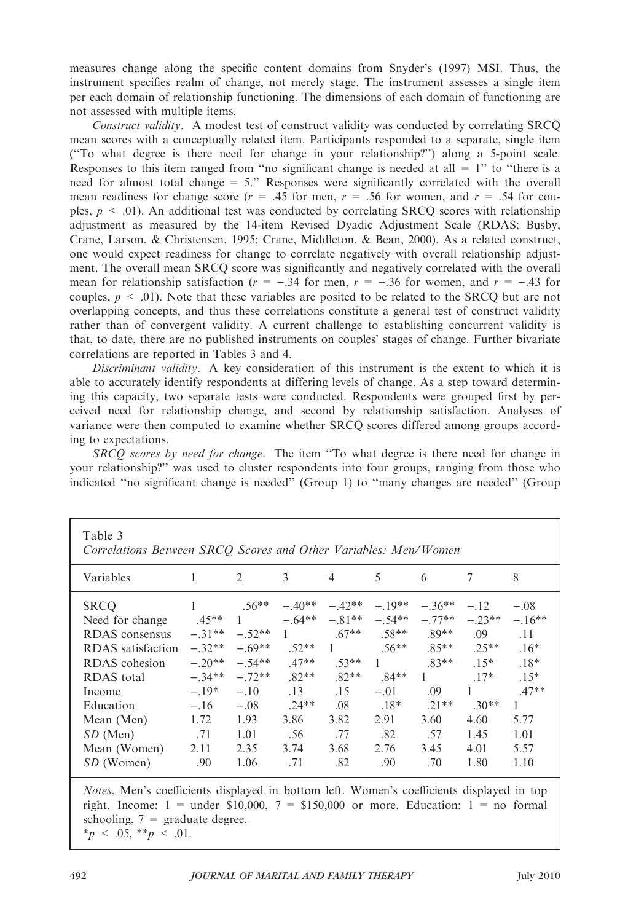measures change along the specific content domains from Snyder's (1997) MSI. Thus, the instrument specifies realm of change, not merely stage. The instrument assesses a single item per each domain of relationship functioning. The dimensions of each domain of functioning are not assessed with multiple items.

Construct validity. A modest test of construct validity was conducted by correlating SRCQ mean scores with a conceptually related item. Participants responded to a separate, single item (''To what degree is there need for change in your relationship?'') along a 5-point scale. Responses to this item ranged from "no significant change is needed at all  $= 1$ " to "there is a need for almost total change  $= 5$ ." Responses were significantly correlated with the overall mean readiness for change score ( $r = .45$  for men,  $r = .56$  for women, and  $r = .54$  for couples,  $p \leq 0.01$ ). An additional test was conducted by correlating SRCQ scores with relationship adjustment as measured by the 14-item Revised Dyadic Adjustment Scale (RDAS; Busby, Crane, Larson, & Christensen, 1995; Crane, Middleton, & Bean, 2000). As a related construct, one would expect readiness for change to correlate negatively with overall relationship adjustment. The overall mean SRCQ score was significantly and negatively correlated with the overall mean for relationship satisfaction ( $r = -.34$  for men,  $r = -.36$  for women, and  $r = -.43$  for couples,  $p \le 0.01$ ). Note that these variables are posited to be related to the SRCQ but are not overlapping concepts, and thus these correlations constitute a general test of construct validity rather than of convergent validity. A current challenge to establishing concurrent validity is that, to date, there are no published instruments on couples' stages of change. Further bivariate correlations are reported in Tables 3 and 4.

Discriminant validity. A key consideration of this instrument is the extent to which it is able to accurately identify respondents at differing levels of change. As a step toward determining this capacity, two separate tests were conducted. Respondents were grouped first by perceived need for relationship change, and second by relationship satisfaction. Analyses of variance were then computed to examine whether SRCQ scores differed among groups according to expectations.

SRCO scores by need for change. The item "To what degree is there need for change in your relationship?'' was used to cluster respondents into four groups, ranging from those who indicated ''no significant change is needed'' (Group 1) to ''many changes are needed'' (Group

| Table 3<br>Correlations Between SRCQ Scores and Other Variables: Men/Women                                                                                                          |                                                                                                     |                                                                                                     |                                                                                                |                                                                                            |                                                                                                  |                                                                                                |                                                                                            |                                                                                                 |
|-------------------------------------------------------------------------------------------------------------------------------------------------------------------------------------|-----------------------------------------------------------------------------------------------------|-----------------------------------------------------------------------------------------------------|------------------------------------------------------------------------------------------------|--------------------------------------------------------------------------------------------|--------------------------------------------------------------------------------------------------|------------------------------------------------------------------------------------------------|--------------------------------------------------------------------------------------------|-------------------------------------------------------------------------------------------------|
| Variables                                                                                                                                                                           |                                                                                                     | $\mathcal{L}$                                                                                       | $\mathcal{E}$                                                                                  | $\overline{4}$                                                                             | 5                                                                                                | 6                                                                                              | 7                                                                                          | 8                                                                                               |
| <b>SRCO</b><br>Need for change<br><b>RDAS</b> consensus<br>RDAS satisfaction<br>RDAS cohesion<br><b>RDAS</b> total<br>Income<br>Education<br>Mean (Men)<br>SD (Men)<br>Mean (Women) | $.45**$<br>$-.31**$<br>$-.32**$<br>$-.20**$<br>$-.34**$<br>$-.19*$<br>$-.16$<br>1.72<br>.71<br>2.11 | $.56**$<br>$-.52**$<br>$-.69**$<br>$-.54**$<br>$-.72**$<br>$-.10$<br>$-.08$<br>1.93<br>1.01<br>2.35 | $-.40**$<br>$-.64**$<br>$.52**$<br>$.47**$<br>$.82**$<br>.13<br>$.24**$<br>3.86<br>.56<br>3.74 | $-.42**$<br>$-.81**$<br>$.67**$<br>$.53**$<br>$.82**$<br>.15<br>.08<br>3.82<br>.77<br>3.68 | $-.19**$<br>$-.54**$<br>$.58**$<br>$.56**$<br>$.84**$<br>$-.01$<br>$.18*$<br>2.91<br>.82<br>2.76 | $-.36**$<br>$-.77**$<br>$.89**$<br>$.85**$<br>$.83**$<br>.09<br>$.21**$<br>3.60<br>.57<br>3.45 | $-.12$<br>$-.23**$<br>.09<br>$.25**$<br>$15*$<br>$.17*$<br>$.30**$<br>4.60<br>1.45<br>4.01 | $-.08$<br>$-.16**$<br>.11<br>$.16*$<br>$.18*$<br>$.15*$<br>$.47**$<br>1<br>5.77<br>1.01<br>5.57 |
| SD (Women)                                                                                                                                                                          | .90                                                                                                 | 1.06                                                                                                | .71                                                                                            | .82                                                                                        | .90                                                                                              | .70                                                                                            | 1.80                                                                                       | 1.10                                                                                            |

Notes. Men's coefficients displayed in bottom left. Women's coefficients displayed in top right. Income:  $1 =$  under \$10,000,  $7 =$  \$150,000 or more. Education:  $1 =$  no formal schooling,  $7 =$  graduate degree.  $*_p$  < .05,  $*_p$  < .01.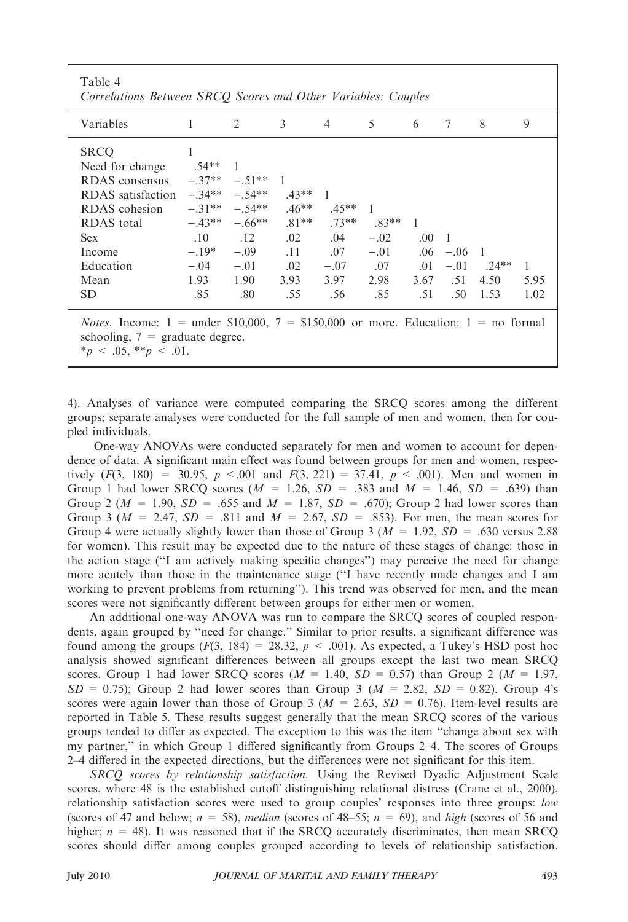| Variables                          | 1                                      | $\mathfrak{D}$                         | $\mathcal{E}$ | $\overline{4}$ | 5                    | 6 | 7               | 8            | 9    |
|------------------------------------|----------------------------------------|----------------------------------------|---------------|----------------|----------------------|---|-----------------|--------------|------|
| <b>SRCO</b>                        | 1                                      |                                        |               |                |                      |   |                 |              |      |
| Need for change 54** 1             |                                        |                                        |               |                |                      |   |                 |              |      |
| RDAS consensus $-.37**$ $-.51**$ 1 |                                        |                                        |               |                |                      |   |                 |              |      |
| RDAS satisfaction                  |                                        | $-34***$ $-54***$ $43***$ 1            |               |                |                      |   |                 |              |      |
| RDAS cohesion                      |                                        | $-.31***$ $-.54**$ $.46**$ $.45**$ 1   |               |                |                      |   |                 |              |      |
| RDAS total                         |                                        | $-.43***$ $-.66***$ $.81**$            |               |                | $.73***$ $.83***$ 1  |   |                 |              |      |
| Sex                                |                                        | $.10 \t .12 \t .02$                    |               |                | $.04$ $-.02$ $.00$ 1 |   |                 |              |      |
| Income                             |                                        | $-.19* - .09$ .11                      |               |                | $.07 - .01$ .06      |   | $-.06 \quad 1$  |              |      |
| Education                          | $-.04$ $-.01$ $.02$ $-.07$ $.07$ $.01$ |                                        |               |                |                      |   |                 | $-.01$ .24** | 1    |
| Mean                               |                                        | 1.93 1.90 3.93 3.97 2.98 3.67 .51 4.50 |               |                |                      |   |                 |              | 5.95 |
| SD.                                | .85                                    | .80                                    | .55           | .56            | .85                  |   | $.51 \quad .50$ | 1.53         | 1.02 |

4). Analyses of variance were computed comparing the SRCQ scores among the different groups; separate analyses were conducted for the full sample of men and women, then for coupled individuals.

One-way ANOVAs were conducted separately for men and women to account for dependence of data. A significant main effect was found between groups for men and women, respectively  $(F(3, 180) = 30.95, p < .001$  and  $F(3, 221) = 37.41, p < .001$ ). Men and women in Group 1 had lower SRCQ scores ( $M = 1.26$ ,  $SD = 0.383$  and  $M = 1.46$ ,  $SD = 0.639$ ) than Group 2 ( $M = 1.90$ ,  $SD = .655$  and  $M = 1.87$ ,  $SD = .670$ ); Group 2 had lower scores than Group 3 ( $M = 2.47$ ,  $SD = .811$  and  $M = 2.67$ ,  $SD = .853$ ). For men, the mean scores for Group 4 were actually slightly lower than those of Group 3 ( $M = 1.92$ ,  $SD = .630$  versus 2.88 for women). This result may be expected due to the nature of these stages of change: those in the action stage (''I am actively making specific changes'') may perceive the need for change more acutely than those in the maintenance stage (''I have recently made changes and I am working to prevent problems from returning''). This trend was observed for men, and the mean scores were not significantly different between groups for either men or women.

An additional one-way ANOVA was run to compare the SRCQ scores of coupled respondents, again grouped by ''need for change.'' Similar to prior results, a significant difference was found among the groups  $(F(3, 184) = 28.32, p < .001)$ . As expected, a Tukey's HSD post hoc analysis showed significant differences between all groups except the last two mean SRCQ scores. Group 1 had lower SRCQ scores ( $M = 1.40$ ,  $SD = 0.57$ ) than Group 2 ( $M = 1.97$ ,  $SD = 0.75$ ; Group 2 had lower scores than Group 3 ( $M = 2.82$ ,  $SD = 0.82$ ). Group 4's scores were again lower than those of Group 3 ( $M = 2.63$ ,  $SD = 0.76$ ). Item-level results are reported in Table 5. These results suggest generally that the mean SRCQ scores of the various groups tended to differ as expected. The exception to this was the item ''change about sex with my partner,'' in which Group 1 differed significantly from Groups 2–4. The scores of Groups 2–4 differed in the expected directions, but the differences were not significant for this item.

SRCQ scores by relationship satisfaction. Using the Revised Dyadic Adjustment Scale scores, where 48 is the established cutoff distinguishing relational distress (Crane et al., 2000), relationship satisfaction scores were used to group couples' responses into three groups: low (scores of 47 and below;  $n = 58$ ), *median* (scores of 48–55;  $n = 69$ ), and *high* (scores of 56 and higher;  $n = 48$ ). It was reasoned that if the SRCQ accurately discriminates, then mean SRCQ scores should differ among couples grouped according to levels of relationship satisfaction.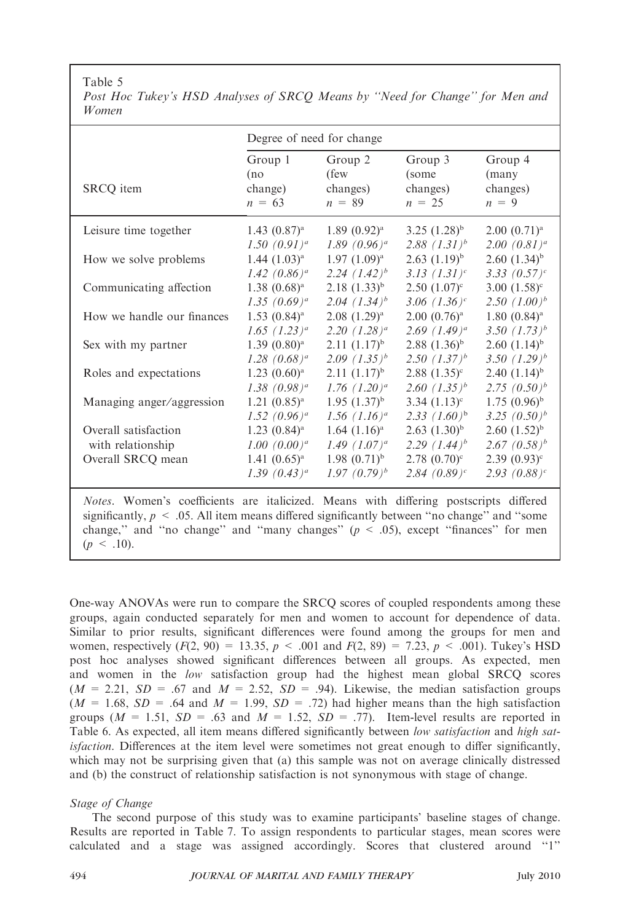Table 5

|                                                                                                                                                                                                                                                                                 | Degree of need for change  |                   |                            |                           |
|---------------------------------------------------------------------------------------------------------------------------------------------------------------------------------------------------------------------------------------------------------------------------------|----------------------------|-------------------|----------------------------|---------------------------|
| SRCQ item                                                                                                                                                                                                                                                                       | Group 1                    | Group 2           | Group 3                    | Group 4                   |
|                                                                                                                                                                                                                                                                                 | (no)                       | (few              | (some                      | (many                     |
|                                                                                                                                                                                                                                                                                 | change)                    | changes)          | changes)                   | changes)                  |
|                                                                                                                                                                                                                                                                                 | $n = 63$                   | $n = 89$          | $n = 25$                   | $n = 9$                   |
| Leisure time together                                                                                                                                                                                                                                                           | $1.43 (0.87)^a$            | $1.89(0.92)^a$    | 3.25 $(1.28)^{b}$          | $2.00~(0.71)^a$           |
|                                                                                                                                                                                                                                                                                 | 1.50 $(0.91)^a$            | 1.89 $(0.96)^a$   | 2.88 $(1.31)^b$            | 2.00 $(0.81)^a$           |
| How we solve problems                                                                                                                                                                                                                                                           | $1.44$ $(1.03)^a$          | $1.97 (1.09)^a$   | $2.63$ $(1.19)^{b}$        | $2.60(1.34)^{b}$          |
|                                                                                                                                                                                                                                                                                 | 1.42 $(0.86)^a$            | 2.24 $(1.42)^b$   | $3.13$ $(1.31)^c$          | 3.33 $(0.57)^c$           |
| Communicating affection                                                                                                                                                                                                                                                         | $1.38(0.68)^a$             | $2.18(1.33)^{b}$  | $2.50~(1.07)^c$            | $3.00~(1.58)^c$           |
|                                                                                                                                                                                                                                                                                 | 1.35 $(0.69)^a$            | 2.04 $(1.34)^b$   | 3.06 $(1.36)^c$            | 2.50 $(1.00)^b$           |
| How we handle our finances                                                                                                                                                                                                                                                      | $1.53(0.84)$ <sup>a</sup>  | $2.08$ $(1.29)^a$ | $2.00~(0.76)$ <sup>a</sup> | $1.80(0.84)$ <sup>a</sup> |
|                                                                                                                                                                                                                                                                                 | $1.65$ $(1.23)^{a}$        | 2.20 $(1.28)^{a}$ | 2.69 $(1.49)^{a}$          | 3.50 $(1.73)^b$           |
| Sex with my partner                                                                                                                                                                                                                                                             | $1.39(0.80)$ <sup>a</sup>  | $2.11 (1.17)^{b}$ | $2.88(1.36)^{b}$           | $2.60(1.14)^{b}$          |
|                                                                                                                                                                                                                                                                                 | 1.28 $(0.68)^a$            | 2.09 $(1.35)^b$   | 2.50 $(1.37)^b$            | 3.50 $(1.29)^b$           |
| Roles and expectations                                                                                                                                                                                                                                                          | $1.23 (0.60)^a$            | $2.11 (1.17)^{b}$ | $2.88~(1.35)^c$            | 2.40 $(1.14)^{b}$         |
|                                                                                                                                                                                                                                                                                 | 1.38 $(0.98)^a$            | 1.76 $(1.20)^{a}$ | 2.60 $(1.35)^b$            | 2.75 $(0.50)^b$           |
| Managing anger/aggression                                                                                                                                                                                                                                                       | $1.21 (0.85)^a$            | $1.95 (1.37)^{b}$ | $3.34 (1.13)^c$            | $1.75(0.96)^{b}$          |
|                                                                                                                                                                                                                                                                                 | 1.52 $(0.96)^a$            | 1.56 $(1.16)^a$   | 2.33 $(1.60)^{b}$          | 3.25 $(0.50)^b$           |
| Overall satisfaction                                                                                                                                                                                                                                                            | $1.23 (0.84)$ <sup>a</sup> | $1.64$ $(1.16)^a$ | $2.63$ $(1.30)^{b}$        | $2.60~(1.52)^{b}$         |
| with relationship                                                                                                                                                                                                                                                               | $1.00~(0.00)^a$            | 1.49 $(1.07)^{a}$ | 2.29 $(1.44)^b$            | 2.67 $(0.58)^b$           |
| Overall SRCQ mean                                                                                                                                                                                                                                                               | $1.41 (0.65)^a$            | $1.98(0.71)^{b}$  | $2.78(0.70)^c$             | $2.39(0.93)^c$            |
|                                                                                                                                                                                                                                                                                 | 1.39 $(0.43)^a$            | $1.97~(0.79)^{b}$ | 2.84 $(0.89)^c$            | 2.93 $(0.88)^c$           |
| Notes. Women's coefficients are italicized. Means with differing postscripts differed<br>significantly, $p < .05$ . All item means differed significantly between "no change" and "some<br>change," and "no change" and "many changes" ( $p < .05$ ), except "finances" for men |                            |                   |                            |                           |

Post Hoc Tukey's HSD Analyses of SRCQ Means by ''Need for Change'' for Men and Women

One-way ANOVAs were run to compare the SRCQ scores of coupled respondents among these groups, again conducted separately for men and women to account for dependence of data. Similar to prior results, significant differences were found among the groups for men and women, respectively  $(F(2, 90) = 13.35, p < .001$  and  $F(2, 89) = 7.23, p < .001$ ). Tukey's HSD post hoc analyses showed significant differences between all groups. As expected, men and women in the low satisfaction group had the highest mean global SRCQ scores  $(M = 2.21, SD = .67$  and  $M = 2.52, SD = .94$ ). Likewise, the median satisfaction groups  $(M = 1.68, SD = .64$  and  $M = 1.99, SD = .72$ ) had higher means than the high satisfaction groups  $(M = 1.51, SD = .63$  and  $M = 1.52, SD = .77$ ). Item-level results are reported in Table 6. As expected, all item means differed significantly between low satisfaction and high satisfaction. Differences at the item level were sometimes not great enough to differ significantly, which may not be surprising given that (a) this sample was not on average clinically distressed and (b) the construct of relationship satisfaction is not synonymous with stage of change.

# Stage of Change

 $(p \leq .10)$ .

The second purpose of this study was to examine participants' baseline stages of change. Results are reported in Table 7. To assign respondents to particular stages, mean scores were calculated and a stage was assigned accordingly. Scores that clustered around ''1''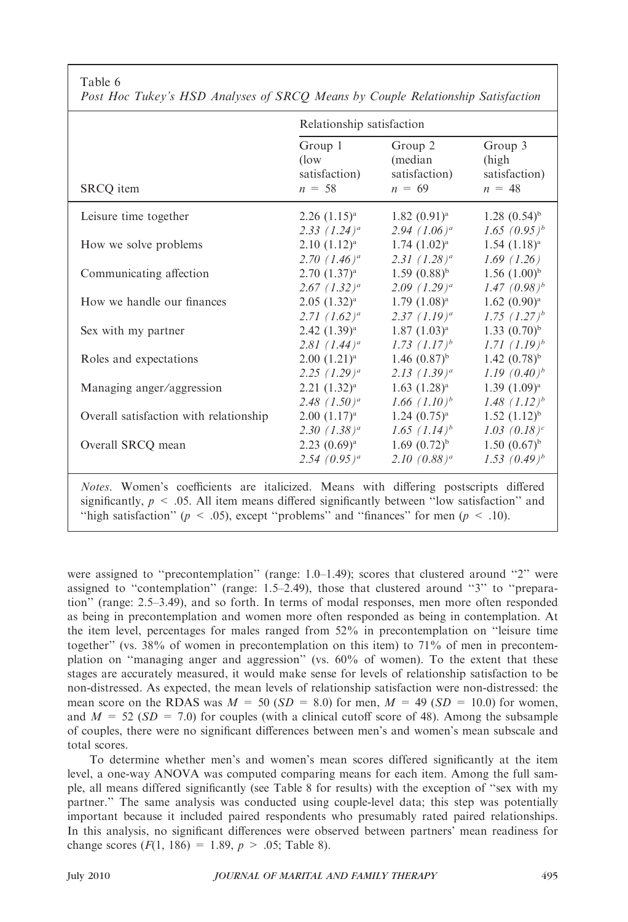|                                                                                                                                                                                              | Relationship satisfaction |                   |                     |
|----------------------------------------------------------------------------------------------------------------------------------------------------------------------------------------------|---------------------------|-------------------|---------------------|
| SRCQ item                                                                                                                                                                                    | Group 1                   | Group 2           | Group 3             |
|                                                                                                                                                                                              | $($ low                   | (median           | (high               |
|                                                                                                                                                                                              | satisfaction)             | satisfaction)     | satisfaction)       |
|                                                                                                                                                                                              | $n = 58$                  | $n = 69$          | $n = 48$            |
| Leisure time together                                                                                                                                                                        | $2.26$ $(1.15)^a$         | $1.82(0.91)^a$    | $1.28(0.54)^{b}$    |
|                                                                                                                                                                                              | 2.33 $(1.24)^a$           | 2.94 $(1.06)^a$   | $1.65~(0.95)^{b}$   |
| How we solve problems                                                                                                                                                                        | $2.10~(1.12)^a$           | $1.74$ $(1.02)^a$ | $1.54$ $(1.18)^a$   |
|                                                                                                                                                                                              | 2.70 $(1.46)^a$           | $2.31(1.28)^{a}$  | 1.69(1.26)          |
| Communicating affection                                                                                                                                                                      | $2.70$ $(1.37)^a$         | $1.59(0.88)^{b}$  | $1.56$ $(1.00)^{b}$ |
|                                                                                                                                                                                              | $2.67 (1.32)^a$           | 2.09 $(1.29)^{a}$ | 1.47 $(0.98)^b$     |
| How we handle our finances                                                                                                                                                                   | $2.05(1.32)^{a}$          | $1.79(1.08)^a$    | $1.62 (0.90)^a$     |
|                                                                                                                                                                                              | 2.71 $(1.62)^a$           | 2.37 $(1.19)^{a}$ | $1.75$ $(1.27)^{b}$ |
| Sex with my partner                                                                                                                                                                          | $2.42 (1.39)^a$           | $1.87 (1.03)^a$   | $1.33 (0.70)^{b}$   |
|                                                                                                                                                                                              | 2.81 $(1.44)^a$           | 1.73 $(1.17)^b$   | 1.71 $(1.19)^b$     |
| Roles and expectations                                                                                                                                                                       | $2.00(1.21)^a$            | 1.46 $(0.87)^{b}$ | $1.42 (0.78)^{b}$   |
|                                                                                                                                                                                              | 2.25 $(1.29)^{a}$         | 2.13 $(1.39)^{a}$ | 1.19 $(0.40)^b$     |
| Managing anger/aggression                                                                                                                                                                    | $2.21$ $(1.32)^a$         | $1.63$ $(1.28)^a$ | $1.39(1.09)^a$      |
|                                                                                                                                                                                              | 2.48 $(1.50)^{a}$         | 1.66 $(1.10)^b$   | 1.48 $(1.12)^b$     |
| Overall satisfaction with relationship                                                                                                                                                       | $2.00(1.17)^a$            | $1.24~(0.75)^a$   | $1.52 (1.12)^{b}$   |
|                                                                                                                                                                                              | 2.30 $(1.38)^a$           | 1.65 $(1.14)^b$   | $1.03~(0.18)^c$     |
| Overall SRCQ mean                                                                                                                                                                            | $2.23(0.69)^a$            | $1.69~(0.72)^{b}$ | $1.50~(0.67)^{b}$   |
|                                                                                                                                                                                              | $2.54~(0.95)^{a}$         | 2.10 $(0.88)^a$   | 1.53 $(0.49)^b$     |
| Notes. Women's coefficients are italicized. Means with differing postscripts differed<br>significantly, $p \leq 0.05$ . All item means differed significantly between "low satisfaction" and |                           |                   |                     |

Table 6 Post Hoc Tukey's HSD Analyses of SRCQ Means by Couple Relationship Satisfaction

"high satisfaction" ( $p < .05$ ), except "problems" and "finances" for men ( $p < .10$ ).

were assigned to "precontemplation" (range:  $1.0-1.49$ ); scores that clustered around "2" were assigned to ''contemplation'' (range: 1.5–2.49), those that clustered around ''3'' to ''preparation'' (range: 2.5–3.49), and so forth. In terms of modal responses, men more often responded as being in precontemplation and women more often responded as being in contemplation. At the item level, percentages for males ranged from 52% in precontemplation on ''leisure time together" (vs. 38% of women in precontemplation on this item) to  $71\%$  of men in precontemplation on ''managing anger and aggression'' (vs. 60% of women). To the extent that these stages are accurately measured, it would make sense for levels of relationship satisfaction to be non-distressed. As expected, the mean levels of relationship satisfaction were non-distressed: the mean score on the RDAS was  $M = 50$  (SD = 8.0) for men,  $M = 49$  (SD = 10.0) for women, and  $M = 52$  (SD = 7.0) for couples (with a clinical cutoff score of 48). Among the subsample of couples, there were no significant differences between men's and women's mean subscale and total scores.

To determine whether men's and women's mean scores differed significantly at the item level, a one-way ANOVA was computed comparing means for each item. Among the full sample, all means differed significantly (see Table 8 for results) with the exception of ''sex with my partner.'' The same analysis was conducted using couple-level data; this step was potentially important because it included paired respondents who presumably rated paired relationships. In this analysis, no significant differences were observed between partners' mean readiness for change scores  $(F(1, 186) = 1.89, p > .05;$  Table 8).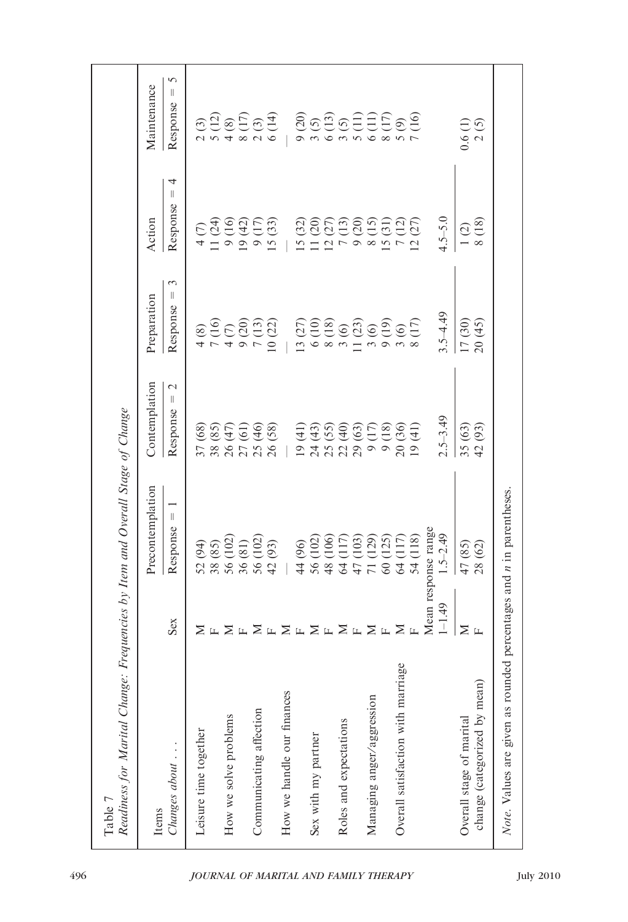| Readiness for Marital Change: Frequencies by Item and Overall Stage of Change<br>Table 7 |               |                                     |                                              |                                           |                                                |                              |
|------------------------------------------------------------------------------------------|---------------|-------------------------------------|----------------------------------------------|-------------------------------------------|------------------------------------------------|------------------------------|
| Items                                                                                    |               | Precontemplation                    | Contemplation                                | Preparation                               | Action                                         | Maintenance                  |
| Changes about                                                                            | Sex           | $\lvert \rvert$<br>Response         | $\mathbin{\sim}$<br>$\parallel$<br>Response  | 3<br>$\parallel$<br>Response              | 4<br>$\parallel$<br>Response                   | 5<br>$\parallel$<br>Response |
| Leisure time together                                                                    | $\geq$        | (94)<br>52                          | 37 (68)                                      | $\circledS$                               | 4(7)                                           | $\widehat{\mathbb{C}}$       |
|                                                                                          | $\frac{1}{2}$ | 38 <sub>1</sub>                     | (85)<br>38                                   |                                           |                                                |                              |
| How we solve problems                                                                    | $\geq$        | $(85)$<br>(102)<br>56               | (47)<br>26                                   | $rac{6}{2}$<br>4                          | $\begin{array}{c} 11(24) \\ 9(16) \end{array}$ |                              |
|                                                                                          | $\frac{1}{2}$ | 36 <sub>1</sub>                     | $\left($ 61)<br>27                           |                                           | (42)<br>$\overline{9}$                         |                              |
| Communicating affection                                                                  | $\geq$        | $\left(\frac{81}{102}\right)$<br>56 | (46)                                         | (30)                                      | (17)<br>$\circ$                                |                              |
|                                                                                          | $\frac{1}{2}$ | (93)<br>$\overline{4}$              | (58)<br>25                                   | $\widetilde{\mathcal{Q}}$<br>$\sum$       | (33)<br>$\overline{5}$                         | (14)                         |
| How we handle our finances                                                               | $\geq$        |                                     |                                              |                                           |                                                |                              |
|                                                                                          | $\frac{1}{2}$ | (96)<br>4                           | $\overline{4}$<br>$\overline{19}$            | 27<br>$\overline{3}$                      | (32)<br>S                                      | $\widehat{20}$               |
| Sex with my partner                                                                      | $\geq$        | (102)<br>56                         | (43)<br>24                                   | $\left(10\right)$<br>$\circ$              | (20)                                           | $\odot$                      |
|                                                                                          | $\frac{1}{2}$ | (106)<br>$\frac{48}{5}$             | (55)<br>25                                   | $\left( \frac{8}{18} \right)$<br>$\infty$ | 77<br>$\mathcal{L}_{\mathcal{A}}$              | $\widetilde{13}$             |
| Roles and expectations                                                                   | $\geq$        | 117<br>$\mathcal{Z}$                | $\left(40\right)$<br>22 <sub>1</sub>         | $\odot$                                   | $\left(13\right)$                              | $\odot$                      |
|                                                                                          | $\mathbb{L}$  | 103<br>47                           | (63)<br>29                                   | (23)                                      | (20)<br>$\circ$                                |                              |
| Managing anger/aggression                                                                | $\geq$        | (129)<br>$\overline{7}$             | (17)<br>$\circ$                              | $\odot$                                   | $\overline{15}$<br>$\infty$                    | EEE<br>$\circ$               |
|                                                                                          | $\frac{1}{2}$ | (125)<br>$\otimes$                  | (18)<br>$\circ$                              | $\left( \frac{1}{2} \right)$<br>$\sigma$  | $\overline{c}$<br>$\overline{5}$               | $\infty$                     |
| Overall satisfaction with marriage                                                       | $\geq$        | (117)<br>$\mathcal{A}$              | (36)<br>20 <sub>1</sub>                      | $\odot$<br>$\epsilon$                     | $\widetilde{\Xi}$                              | $\circledcirc$<br>$\Omega$   |
|                                                                                          | $\frac{1}{2}$ | (118)<br>54                         | $\left(\frac{1}{4}\right)$<br>$\overline{2}$ | (17)                                      | (27)<br>$\overline{C}$                         | (16)                         |
|                                                                                          | Σ             | ean response range                  |                                              |                                           |                                                |                              |
|                                                                                          | $1 - 1.49$    | $1.5 - 2.49$                        | $2.5 - 3.49$                                 | $3.5 - 4.49$                              | $4.5 - 5.0$                                    |                              |
| Overall stage of marital                                                                 | $\geq$        | 47 (85)                             | 35 (63)                                      | 17 (30)                                   | 1(2)                                           | 0.6(1)                       |
| change (categorized by mean)                                                             | $\mathbb{E}$  | 28 (62)                             | 42 (93)                                      | 20(45)                                    | 8 (18)                                         | 2(5)                         |
| Note. Values are given as rounded percentages and <i>n</i> in parentheses.               |               |                                     |                                              |                                           |                                                |                              |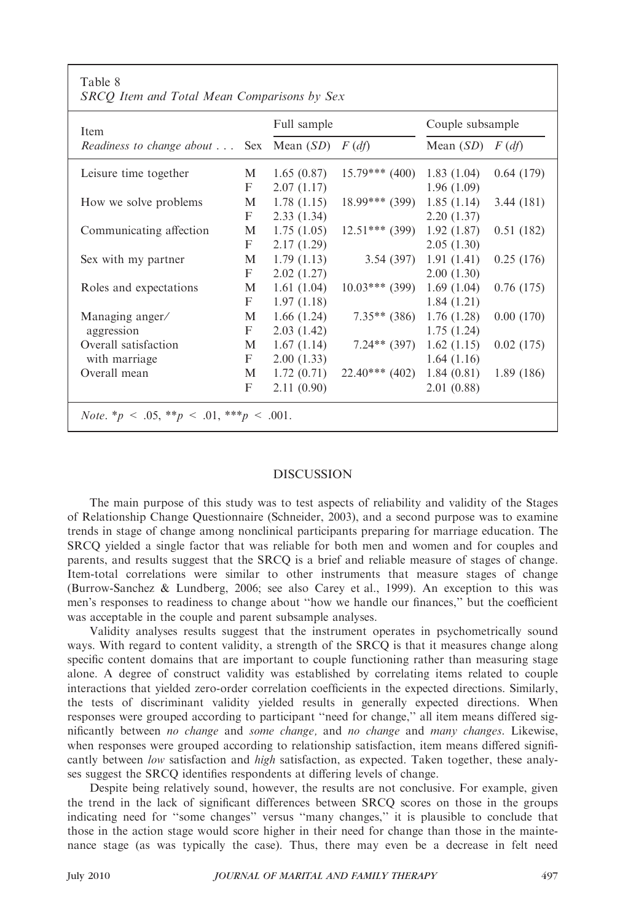| Item                                                     |                           | Full sample |                  | Couple subsample       |           |
|----------------------------------------------------------|---------------------------|-------------|------------------|------------------------|-----------|
| <i>Readiness to change about</i> Sex Mean $(SD)$ $F(df)$ |                           |             |                  | Mean $(SD)$ $F$ $(df)$ |           |
| Leisure time together                                    | M                         | 1.65(0.87)  | $15.79***$ (400) | 1.83(1.04)             | 0.64(179) |
|                                                          | F                         | 2.07(1.17)  |                  | 1.96(1.09)             |           |
| How we solve problems                                    | М                         | 1.78(1.15)  | $18.99***$ (399) | 1.85(1.14)             | 3.44(181) |
|                                                          | F                         | 2.33(1.34)  |                  | 2.20(1.37)             |           |
| Communicating affection                                  | М                         | 1.75(1.05)  | $12.51***$ (399) | 1.92(1.87)             | 0.51(182) |
|                                                          | F                         | 2.17(1.29)  |                  | 2.05(1.30)             |           |
| Sex with my partner                                      | М                         | 1.79(1.13)  | 3.54(397)        | 1.91(1.41)             | 0.25(176) |
|                                                          | F                         | 2.02(1.27)  |                  | 2.00(1.30)             |           |
| Roles and expectations                                   | M                         | 1.61(1.04)  | $10.03***$ (399) | 1.69(1.04)             | 0.76(175) |
|                                                          | $\mathbf{F}$              | 1.97(1.18)  |                  | 1.84(1.21)             |           |
| Managing anger/                                          | М                         | 1.66(1.24)  | $7.35**$ (386)   | 1.76(1.28)             | 0.00(170) |
| aggression                                               | F                         | 2.03(1.42)  |                  | 1.75(1.24)             |           |
| Overall satisfaction                                     | M                         | 1.67(1.14)  | $7.24**$ (397)   | 1.62(1.15)             | 0.02(175) |
| with marriage                                            | F                         | 2.00(1.33)  |                  | 1.64(1.16)             |           |
| Overall mean                                             | M                         | 1.72(0.71)  | $22.40***$ (402) | 1.84(0.81)             | 1.89(186) |
|                                                          | $\boldsymbol{\mathrm{F}}$ | 2.11(0.90)  |                  | 2.01(0.88)             |           |

# DISCUSSION

The main purpose of this study was to test aspects of reliability and validity of the Stages of Relationship Change Questionnaire (Schneider, 2003), and a second purpose was to examine trends in stage of change among nonclinical participants preparing for marriage education. The SRCQ yielded a single factor that was reliable for both men and women and for couples and parents, and results suggest that the SRCQ is a brief and reliable measure of stages of change. Item-total correlations were similar to other instruments that measure stages of change (Burrow-Sanchez & Lundberg, 2006; see also Carey et al., 1999). An exception to this was men's responses to readiness to change about ''how we handle our finances,'' but the coefficient was acceptable in the couple and parent subsample analyses.

Validity analyses results suggest that the instrument operates in psychometrically sound ways. With regard to content validity, a strength of the SRCQ is that it measures change along specific content domains that are important to couple functioning rather than measuring stage alone. A degree of construct validity was established by correlating items related to couple interactions that yielded zero-order correlation coefficients in the expected directions. Similarly, the tests of discriminant validity yielded results in generally expected directions. When responses were grouped according to participant ''need for change,'' all item means differed significantly between no change and some change, and no change and many changes. Likewise, when responses were grouped according to relationship satisfaction, item means differed significantly between low satisfaction and high satisfaction, as expected. Taken together, these analyses suggest the SRCQ identifies respondents at differing levels of change.

Despite being relatively sound, however, the results are not conclusive. For example, given the trend in the lack of significant differences between SRCQ scores on those in the groups indicating need for ''some changes'' versus ''many changes,'' it is plausible to conclude that those in the action stage would score higher in their need for change than those in the maintenance stage (as was typically the case). Thus, there may even be a decrease in felt need

Table 8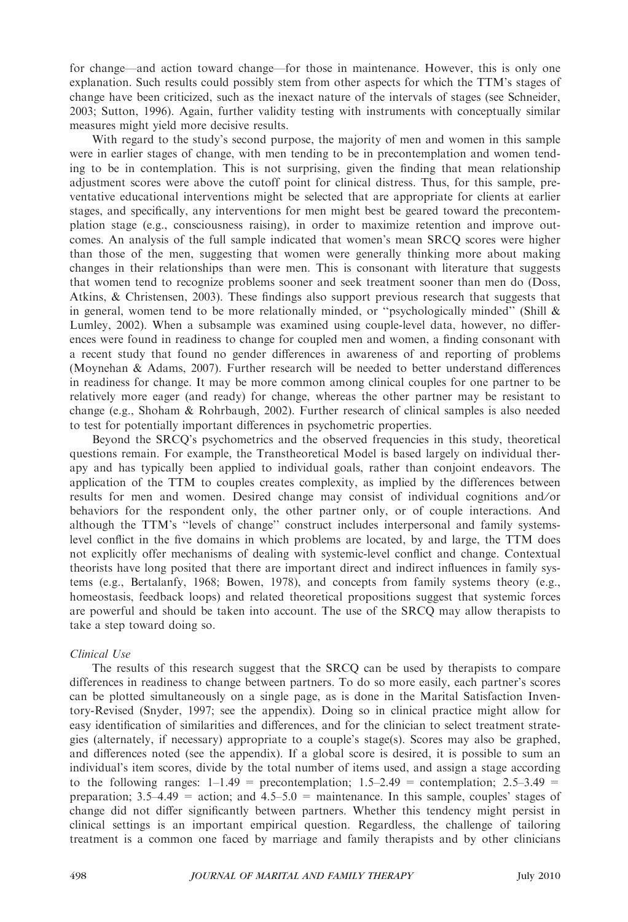for change—and action toward change—for those in maintenance. However, this is only one explanation. Such results could possibly stem from other aspects for which the TTM's stages of change have been criticized, such as the inexact nature of the intervals of stages (see Schneider, 2003; Sutton, 1996). Again, further validity testing with instruments with conceptually similar measures might yield more decisive results.

With regard to the study's second purpose, the majority of men and women in this sample were in earlier stages of change, with men tending to be in precontemplation and women tending to be in contemplation. This is not surprising, given the finding that mean relationship adjustment scores were above the cutoff point for clinical distress. Thus, for this sample, preventative educational interventions might be selected that are appropriate for clients at earlier stages, and specifically, any interventions for men might best be geared toward the precontemplation stage (e.g., consciousness raising), in order to maximize retention and improve outcomes. An analysis of the full sample indicated that women's mean SRCQ scores were higher than those of the men, suggesting that women were generally thinking more about making changes in their relationships than were men. This is consonant with literature that suggests that women tend to recognize problems sooner and seek treatment sooner than men do (Doss, Atkins, & Christensen, 2003). These findings also support previous research that suggests that in general, women tend to be more relationally minded, or "psychologically minded" (Shill  $\&$ Lumley, 2002). When a subsample was examined using couple-level data, however, no differences were found in readiness to change for coupled men and women, a finding consonant with a recent study that found no gender differences in awareness of and reporting of problems (Moynehan & Adams, 2007). Further research will be needed to better understand differences in readiness for change. It may be more common among clinical couples for one partner to be relatively more eager (and ready) for change, whereas the other partner may be resistant to change (e.g., Shoham & Rohrbaugh, 2002). Further research of clinical samples is also needed to test for potentially important differences in psychometric properties.

Beyond the SRCQ's psychometrics and the observed frequencies in this study, theoretical questions remain. For example, the Transtheoretical Model is based largely on individual therapy and has typically been applied to individual goals, rather than conjoint endeavors. The application of the TTM to couples creates complexity, as implied by the differences between results for men and women. Desired change may consist of individual cognitions and/or behaviors for the respondent only, the other partner only, or of couple interactions. And although the TTM's ''levels of change'' construct includes interpersonal and family systemslevel conflict in the five domains in which problems are located, by and large, the TTM does not explicitly offer mechanisms of dealing with systemic-level conflict and change. Contextual theorists have long posited that there are important direct and indirect influences in family systems (e.g., Bertalanfy, 1968; Bowen, 1978), and concepts from family systems theory (e.g., homeostasis, feedback loops) and related theoretical propositions suggest that systemic forces are powerful and should be taken into account. The use of the SRCQ may allow therapists to take a step toward doing so.

# Clinical Use

The results of this research suggest that the SRCQ can be used by therapists to compare differences in readiness to change between partners. To do so more easily, each partner's scores can be plotted simultaneously on a single page, as is done in the Marital Satisfaction Inventory-Revised (Snyder, 1997; see the appendix). Doing so in clinical practice might allow for easy identification of similarities and differences, and for the clinician to select treatment strategies (alternately, if necessary) appropriate to a couple's stage(s). Scores may also be graphed, and differences noted (see the appendix). If a global score is desired, it is possible to sum an individual's item scores, divide by the total number of items used, and assign a stage according to the following ranges:  $1-1.49$  = precontemplation;  $1.5-2.49$  = contemplation;  $2.5-3.49$  = preparation;  $3.5-4.49$  = action; and  $4.5-5.0$  = maintenance. In this sample, couples' stages of change did not differ significantly between partners. Whether this tendency might persist in clinical settings is an important empirical question. Regardless, the challenge of tailoring treatment is a common one faced by marriage and family therapists and by other clinicians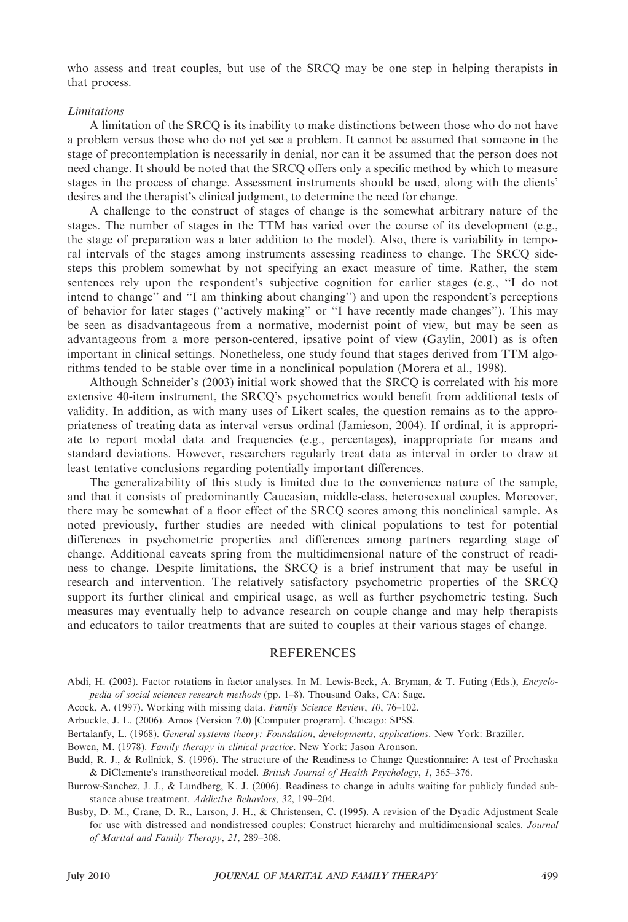who assess and treat couples, but use of the SRCQ may be one step in helping therapists in that process.

### Limitations

A limitation of the SRCQ is its inability to make distinctions between those who do not have a problem versus those who do not yet see a problem. It cannot be assumed that someone in the stage of precontemplation is necessarily in denial, nor can it be assumed that the person does not need change. It should be noted that the SRCQ offers only a specific method by which to measure stages in the process of change. Assessment instruments should be used, along with the clients' desires and the therapist's clinical judgment, to determine the need for change.

A challenge to the construct of stages of change is the somewhat arbitrary nature of the stages. The number of stages in the TTM has varied over the course of its development (e.g., the stage of preparation was a later addition to the model). Also, there is variability in temporal intervals of the stages among instruments assessing readiness to change. The SRCQ sidesteps this problem somewhat by not specifying an exact measure of time. Rather, the stem sentences rely upon the respondent's subjective cognition for earlier stages (e.g., ''I do not intend to change'' and ''I am thinking about changing'') and upon the respondent's perceptions of behavior for later stages (''actively making'' or ''I have recently made changes''). This may be seen as disadvantageous from a normative, modernist point of view, but may be seen as advantageous from a more person-centered, ipsative point of view (Gaylin, 2001) as is often important in clinical settings. Nonetheless, one study found that stages derived from TTM algorithms tended to be stable over time in a nonclinical population (Morera et al., 1998).

Although Schneider's (2003) initial work showed that the SRCQ is correlated with his more extensive 40-item instrument, the SRCQ's psychometrics would benefit from additional tests of validity. In addition, as with many uses of Likert scales, the question remains as to the appropriateness of treating data as interval versus ordinal (Jamieson, 2004). If ordinal, it is appropriate to report modal data and frequencies (e.g., percentages), inappropriate for means and standard deviations. However, researchers regularly treat data as interval in order to draw at least tentative conclusions regarding potentially important differences.

The generalizability of this study is limited due to the convenience nature of the sample, and that it consists of predominantly Caucasian, middle-class, heterosexual couples. Moreover, there may be somewhat of a floor effect of the SRCQ scores among this nonclinical sample. As noted previously, further studies are needed with clinical populations to test for potential differences in psychometric properties and differences among partners regarding stage of change. Additional caveats spring from the multidimensional nature of the construct of readiness to change. Despite limitations, the SRCQ is a brief instrument that may be useful in research and intervention. The relatively satisfactory psychometric properties of the SRCQ support its further clinical and empirical usage, as well as further psychometric testing. Such measures may eventually help to advance research on couple change and may help therapists and educators to tailor treatments that are suited to couples at their various stages of change.

### REFERENCES

- Abdi, H. (2003). Factor rotations in factor analyses. In M. Lewis-Beck, A. Bryman, & T. Futing (Eds.), Encyclopedia of social sciences research methods (pp. 1–8). Thousand Oaks, CA: Sage.
- Acock, A. (1997). Working with missing data. Family Science Review, 10, 76–102.
- Arbuckle, J. L. (2006). Amos (Version 7.0) [Computer program]. Chicago: SPSS.
- Bertalanfy, L. (1968). General systems theory: Foundation, developments, applications. New York: Braziller.
- Bowen, M. (1978). Family therapy in clinical practice. New York: Jason Aronson.
- Budd, R. J., & Rollnick, S. (1996). The structure of the Readiness to Change Questionnaire: A test of Prochaska & DiClemente's transtheoretical model. British Journal of Health Psychology, 1, 365–376.
- Burrow-Sanchez, J. J., & Lundberg, K. J. (2006). Readiness to change in adults waiting for publicly funded substance abuse treatment. Addictive Behaviors, 32, 199–204.
- Busby, D. M., Crane, D. R., Larson, J. H., & Christensen, C. (1995). A revision of the Dyadic Adjustment Scale for use with distressed and nondistressed couples: Construct hierarchy and multidimensional scales. Journal of Marital and Family Therapy, 21, 289–308.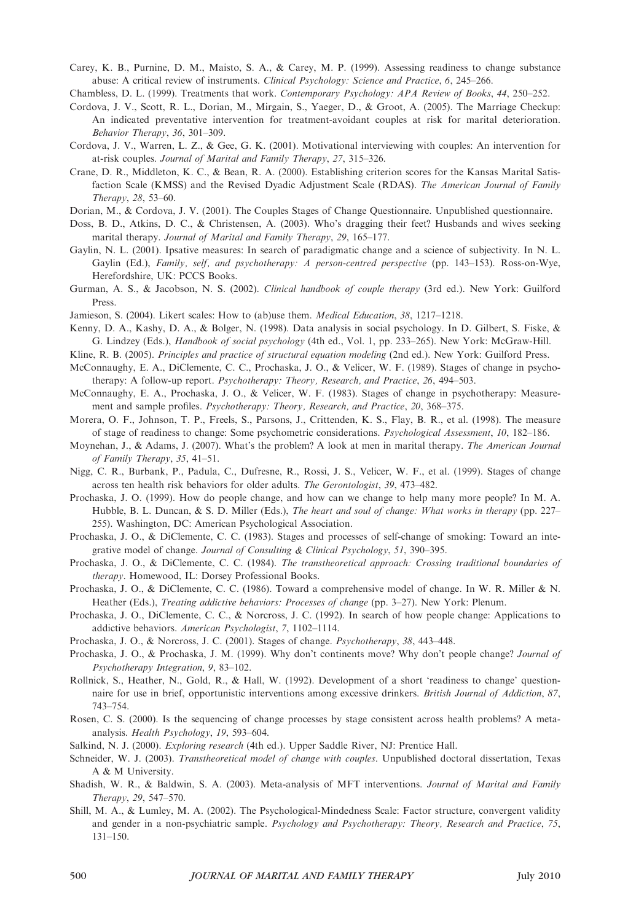Carey, K. B., Purnine, D. M., Maisto, S. A., & Carey, M. P. (1999). Assessing readiness to change substance abuse: A critical review of instruments. Clinical Psychology: Science and Practice, 6, 245-266.

Chambless, D. L. (1999). Treatments that work. Contemporary Psychology: APA Review of Books, 44, 250–252.

- Cordova, J. V., Scott, R. L., Dorian, M., Mirgain, S., Yaeger, D., & Groot, A. (2005). The Marriage Checkup: An indicated preventative intervention for treatment-avoidant couples at risk for marital deterioration. Behavior Therapy, 36, 301–309.
- Cordova, J. V., Warren, L. Z., & Gee, G. K. (2001). Motivational interviewing with couples: An intervention for at-risk couples. Journal of Marital and Family Therapy, 27, 315-326.
- Crane, D. R., Middleton, K. C., & Bean, R. A. (2000). Establishing criterion scores for the Kansas Marital Satisfaction Scale (KMSS) and the Revised Dyadic Adjustment Scale (RDAS). The American Journal of Family Therapy, 28, 53–60.
- Dorian, M., & Cordova, J. V. (2001). The Couples Stages of Change Questionnaire. Unpublished questionnaire.
- Doss, B. D., Atkins, D. C., & Christensen, A. (2003). Who's dragging their feet? Husbands and wives seeking marital therapy. Journal of Marital and Family Therapy, 29, 165–177.
- Gaylin, N. L. (2001). Ipsative measures: In search of paradigmatic change and a science of subjectivity. In N. L. Gaylin (Ed.), Family, self, and psychotherapy: A person-centred perspective (pp. 143–153). Ross-on-Wye, Herefordshire, UK: PCCS Books.
- Gurman, A. S., & Jacobson, N. S. (2002). Clinical handbook of couple therapy (3rd ed.). New York: Guilford Press.
- Jamieson, S. (2004). Likert scales: How to (ab)use them. Medical Education, 38, 1217–1218.
- Kenny, D. A., Kashy, D. A., & Bolger, N. (1998). Data analysis in social psychology. In D. Gilbert, S. Fiske, & G. Lindzey (Eds.), *Handbook of social psychology* (4th ed., Vol. 1, pp. 233–265). New York: McGraw-Hill.
- Kline, R. B. (2005). Principles and practice of structural equation modeling (2nd ed.). New York: Guilford Press.
- McConnaughy, E. A., DiClemente, C. C., Prochaska, J. O., & Velicer, W. F. (1989). Stages of change in psychotherapy: A follow-up report. Psychotherapy: Theory, Research, and Practice, 26, 494–503.
- McConnaughy, E. A., Prochaska, J. O., & Velicer, W. F. (1983). Stages of change in psychotherapy: Measurement and sample profiles. Psychotherapy: Theory, Research, and Practice, 20, 368-375.
- Morera, O. F., Johnson, T. P., Freels, S., Parsons, J., Crittenden, K. S., Flay, B. R., et al. (1998). The measure of stage of readiness to change: Some psychometric considerations. Psychological Assessment, 10, 182–186.
- Moynehan, J., & Adams, J. (2007). What's the problem? A look at men in marital therapy. The American Journal of Family Therapy, 35, 41–51.
- Nigg, C. R., Burbank, P., Padula, C., Dufresne, R., Rossi, J. S., Velicer, W. F., et al. (1999). Stages of change across ten health risk behaviors for older adults. The Gerontologist, 39, 473-482.
- Prochaska, J. O. (1999). How do people change, and how can we change to help many more people? In M. A. Hubble, B. L. Duncan, & S. D. Miller (Eds.), The heart and soul of change: What works in therapy (pp. 227– 255). Washington, DC: American Psychological Association.
- Prochaska, J. O., & DiClemente, C. C. (1983). Stages and processes of self-change of smoking: Toward an integrative model of change. Journal of Consulting & Clinical Psychology, 51, 390–395.
- Prochaska, J. O., & DiClemente, C. C. (1984). The transtheoretical approach: Crossing traditional boundaries of therapy. Homewood, IL: Dorsey Professional Books.
- Prochaska, J. O., & DiClemente, C. C. (1986). Toward a comprehensive model of change. In W. R. Miller & N. Heather (Eds.), Treating addictive behaviors: Processes of change (pp. 3–27). New York: Plenum.
- Prochaska, J. O., DiClemente, C. C., & Norcross, J. C. (1992). In search of how people change: Applications to addictive behaviors. American Psychologist, 7, 1102–1114.
- Prochaska, J. O., & Norcross, J. C. (2001). Stages of change. Psychotherapy, 38, 443–448.
- Prochaska, J. O., & Prochaska, J. M. (1999). Why don't continents move? Why don't people change? Journal of Psychotherapy Integration, 9, 83–102.
- Rollnick, S., Heather, N., Gold, R., & Hall, W. (1992). Development of a short 'readiness to change' questionnaire for use in brief, opportunistic interventions among excessive drinkers. British Journal of Addiction, 87, 743–754.
- Rosen, C. S. (2000). Is the sequencing of change processes by stage consistent across health problems? A metaanalysis. Health Psychology, 19, 593–604.
- Salkind, N. J. (2000). Exploring research (4th ed.). Upper Saddle River, NJ: Prentice Hall.
- Schneider, W. J. (2003). Transtheoretical model of change with couples. Unpublished doctoral dissertation, Texas A & M University.
- Shadish, W. R., & Baldwin, S. A. (2003). Meta-analysis of MFT interventions. Journal of Marital and Family Therapy, 29, 547–570.
- Shill, M. A., & Lumley, M. A. (2002). The Psychological-Mindedness Scale: Factor structure, convergent validity and gender in a non-psychiatric sample. Psychology and Psychotherapy: Theory, Research and Practice, 75, 131–150.